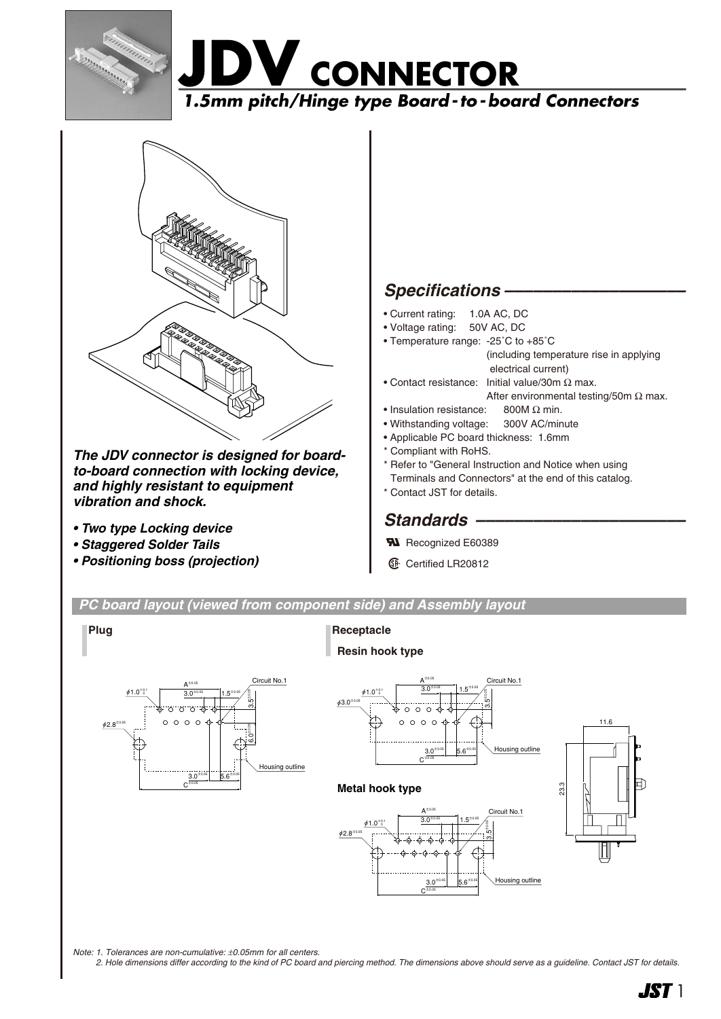





*The JDV connector is designed for boardto-board connection with locking device, and highly resistant to equipment vibration and shock.*

- *Two type Locking device*
- *Staggered Solder Tails*
- *Positioning boss (projection)*

# *Specifications –––––––––––––––––––*

- Current rating: 1.0A AC, DC
- Voltage rating: 50V AC, DC
- Temperature range: -25˚C to +85˚C (including temperature rise in applying electrical current)
- Contact resistance: Initial value/30m Ω max.
	- After environmental testing/50m  $\Omega$  max.
- Insulation resistance: 800M Ω min.
- Withstanding voltage: 300V AC/minute • Applicable PC board thickness: 1.6mm
- \* Compliant with RoHS.

\* Refer to "General Instruction and Notice when using Terminals and Connectors" at the end of this catalog. \* Contact JST for details.

# Standards -

**W** Recognized E60389

**1** Certified LR20812

*PC board layout (viewed from component side) and Assembly layout*

**Plug**

## **Receptacle Resin hook type**









*Note: 1. Tolerances are non-cumulative:* ±*0.05mm for all centers.*

*2. Hole dimensions differ according to the kind of PC board and piercing method. The dimensions above should serve as a guideline. Contact JST for details.*